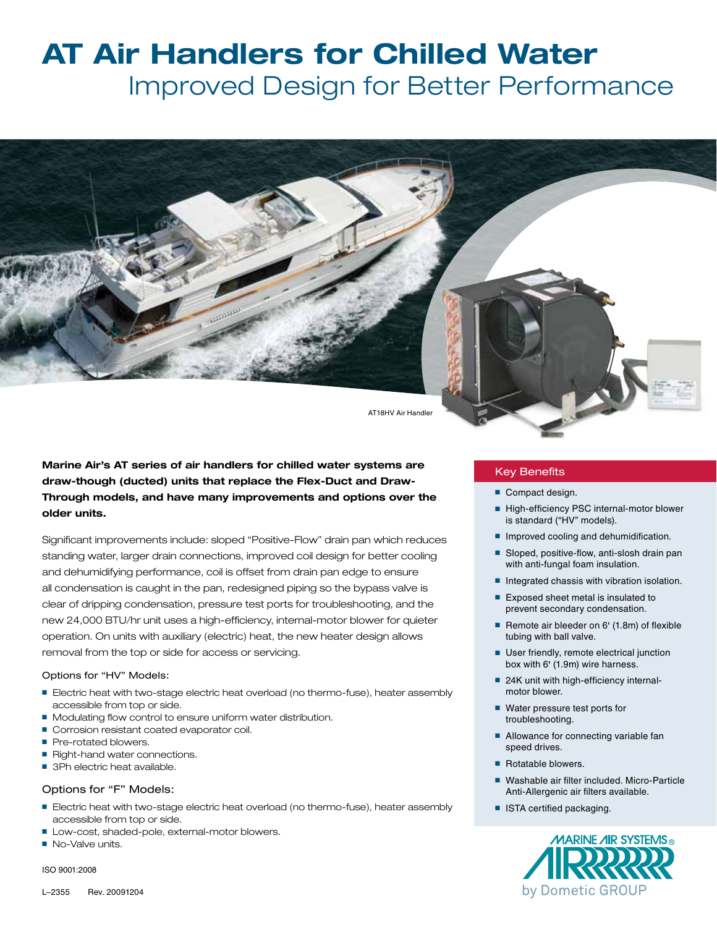# **AT Air Handlers for Chilled Water** Improved Design for Better Performance



AT18HV Air Handler

**Marine Air's AT series of air handlers for chilled water systems are draw-though (ducted) units that replace the Flex-Duct and Draw-Through models, and have many improvements and options over the older units.**

Significant improvements include: sloped "Positive-Flow" drain pan which reduces standing water, larger drain connections, improved coil design for better cooling and dehumidifying performance, coil is offset from drain pan edge to ensure all condensation is caught in the pan, redesigned piping so the bypass valve is clear of dripping condensation, pressure test ports for troubleshooting, and the new 24,000 BTU/hr unit uses a high-efficiency, internal-motor blower for quieter operation. On units with auxiliary (electric) heat, the new heater design allows removal from the top or side for access or servicing.

### Options for "HV" Models:

- Electric heat with two-stage electric heat overload (no thermo-fuse), heater assembly accessible from top or side.
- Modulating flow control to ensure uniform water distribution.
- Corrosion resistant coated evaporator coil.
- Pre-rotated blowers.
- Right-hand water connections.
- 3Ph electric heat available.

## Options for "F" Models:

- Electric heat with two-stage electric heat overload (no thermo-fuse), heater assembly accessible from top or side.
- Low-cost, shaded-pole, external-motor blowers.
- No-Valve units.

ISO 9001:2008

### Key Benefits

- Compact design.
- High-efficiency PSC internal-motor blower is standard ("HV" models).
- Improved cooling and dehumidification.
- Sloped, positive-flow, anti-slosh drain pan with anti-fungal foam insulation.
- Integrated chassis with vibration isolation.
- Exposed sheet metal is insulated to prevent secondary condensation.
- Remote air bleeder on 6' (1.8m) of flexible tubing with ball valve.
- User friendly, remote electrical junction box with 6' (1.9m) wire harness.
- 24K unit with high-efficiency internalmotor blower.
- Water pressure test ports for troubleshooting.
- Allowance for connecting variable fan speed drives.
- Rotatable blowers
- Washable air filter included. Micro-Particle Anti-Allergenic air filters available.
- ISTA certified packaging.